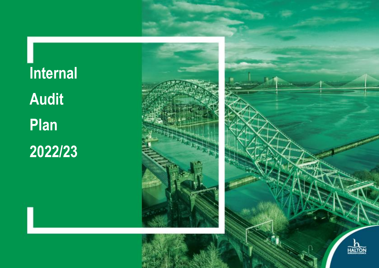**Internal Audit Plan 2022/23**



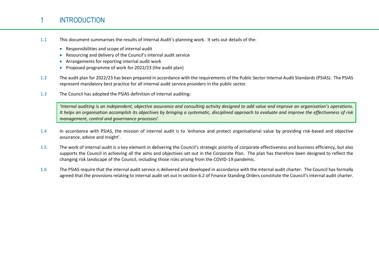# 1 INTRODUCTION

- 1.1 This document summarises the results of Internal Audit's planning work. It sets out details of the:
	- Responsibilities and scope of internal audit
	- Resourcing and delivery of the Council's internal audit service
	- Arrangements for reporting internal audit work
	- Proposed programme of work for 2022/23 (the audit plan)
- 1.2 The audit plan for 2022/23 has been prepared in accordance with the requirements of the Public Sector Internal Audit Standards (PSIAS). The PSIAS represent mandatory best practice for all internal audit service providers in the public sector.
- 1.3 The Council has adopted the PSIAS definition of internal auditing:

*'Internal auditing is an independent, objective assurance and consulting activity designed to add value and improve an organisation's operations. It helps an organisation accomplish its objectives by bringing a systematic, disciplined approach to evaluate and improve the effectiveness of risk management, control and governance processes'.*

- 1.4 In accordance with PSIAS, the mission of internal audit is to 'enhance and protect organisational value by providing risk-based and objective assurance, advice and insight'.
- 1.5 The work of internal audit is a key element in delivering the Council's strategic priority of corporate effectiveness and business efficiency, but also supports the Council in achieving all the aims and objectives set out in the Corporate Plan. The plan has therefore been designed to reflect the changing risk landscape of the Council, including those risks arising from the COVID-19 pandemic.
- 1.6 The PSIAS require that the internal audit service is delivered and developed in accordance with the internal audit charter. The Council has formally agreed that the provisions relating to internal audit set out in section 6.2 of Finance Standing Orders constitute the Council's internal audit charter.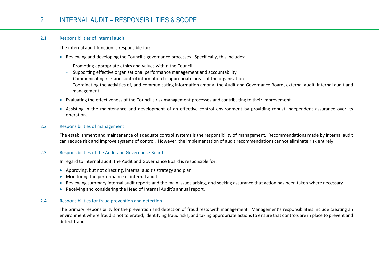# 2 INTERNAL AUDIT – RESPONSIBILITIES & SCOPE

### 2.1 Responsibilities of internal audit

The internal audit function is responsible for:

- Reviewing and developing the Council's governance processes. Specifically, this includes:
	- Promoting appropriate ethics and values within the Council
	- Supporting effective organisational performance management and accountability
	- Communicating risk and control information to appropriate areas of the organisation
	- Coordinating the activities of, and communicating information among, the Audit and Governance Board, external audit, internal audit and management
- Evaluating the effectiveness of the Council's risk management processes and contributing to their improvement
- Assisting in the maintenance and development of an effective control environment by providing robust independent assurance over its operation.

### 2.2 Responsibilities of management

The establishment and maintenance of adequate control systems is the responsibility of management. Recommendations made by internal audit can reduce risk and improve systems of control. However, the implementation of audit recommendations cannot eliminate risk entirely.

### 2.3 Responsibilities of the Audit and Governance Board

In regard to internal audit, the Audit and Governance Board is responsible for:

- Approving, but not directing, internal audit's strategy and plan
- Monitoring the performance of internal audit
- Reviewing summary internal audit reports and the main issues arising, and seeking assurance that action has been taken where necessary
- Receiving and considering the Head of Internal Audit's annual report.

### 2.4 Responsibilities for fraud prevention and detection

The primary responsibility for the prevention and detection of fraud rests with management. Management's responsibilities include creating an environment where fraud is not tolerated, identifying fraud risks, and taking appropriate actions to ensure that controls are in place to prevent and detect fraud.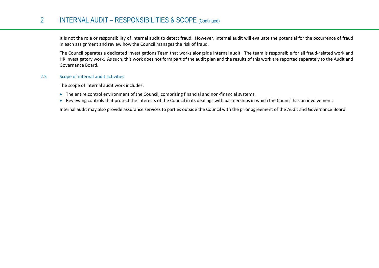# 2 INTERNAL AUDIT – RESPONSIBILITIES & SCOPE (Continued)

It is not the role or responsibility of internal audit to detect fraud. However, internal audit will evaluate the potential for the occurrence of fraud in each assignment and review how the Council manages the risk of fraud.

The Council operates a dedicated Investigations Team that works alongside internal audit. The team is responsible for all fraud-related work and HR investigatory work. As such, this work does not form part of the audit plan and the results of this work are reported separately to the Audit and Governance Board.

### 2.5 Scope of internal audit activities

The scope of internal audit work includes:

- The entire control environment of the Council, comprising financial and non-financial systems.
- Reviewing controls that protect the interests of the Council in its dealings with partnerships in which the Council has an involvement.

Internal audit may also provide assurance services to parties outside the Council with the prior agreement of the Audit and Governance Board.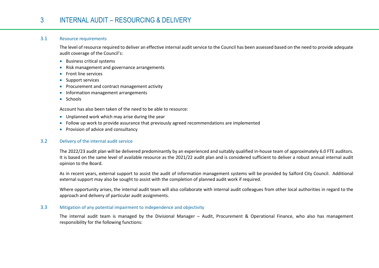# 3 INTERNAL AUDIT – RESOURCING & DELIVERY

### 3.1 Resource requirements

The level of resource required to deliver an effective internal audit service to the Council has been assessed based on the need to provide adequate audit coverage of the Council's:

- **•** Business critical systems
- Risk management and governance arrangements
- **•** Front line services
- Support services
- Procurement and contract management activity
- Information management arrangements
- Schools

Account has also been taken of the need to be able to resource:

- Unplanned work which may arise during the year
- Follow up work to provide assurance that previously agreed recommendations are implemented
- Provision of advice and consultancy

## 3.2 Delivery of the internal audit service

The 2022/23 audit plan will be delivered predominantly by an experienced and suitably qualified in-house team of approximately 6.0 FTE auditors. It is based on the same level of available resource as the 2021/22 audit plan and is considered sufficient to deliver a robust annual internal audit opinion to the Board.

As in recent years, external support to assist the audit of information management systems will be provided by Salford City Council. Additional external support may also be sought to assist with the completion of planned audit work if required.

Where opportunity arises, the internal audit team will also collaborate with internal audit colleagues from other local authorities in regard to the approach and delivery of particular audit assignments.

### 3.3 Mitigation of any potential impairment to independence and objectivity

The internal audit team is managed by the Divisional Manager – Audit, Procurement & Operational Finance, who also has management responsibility for the following functions: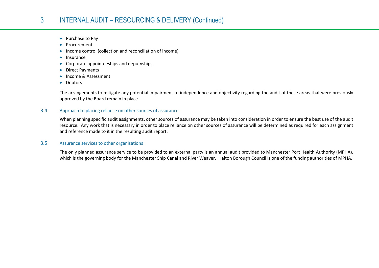# 3 INTERNAL AUDIT – RESOURCING & DELIVERY (Continued)

- Purchase to Pay
- Procurement
- Income control (collection and reconciliation of income)
- $\bullet$  Insurance
- Corporate appointeeships and deputyships
- Direct Payments
- Income & Assessment
- Debtors

The arrangements to mitigate any potential impairment to independence and objectivity regarding the audit of these areas that were previously approved by the Board remain in place.

## 3.4 Approach to placing reliance on other sources of assurance

When planning specific audit assignments, other sources of assurance may be taken into consideration in order to ensure the best use of the audit resource. Any work that is necessary in order to place reliance on other sources of assurance will be determined as required for each assignment and reference made to it in the resulting audit report.

### 3.5 Assurance services to other organisations

The only planned assurance service to be provided to an external party is an annual audit provided to Manchester Port Health Authority (MPHA), which is the governing body for the Manchester Ship Canal and River Weaver. Halton Borough Council is one of the funding authorities of MPHA.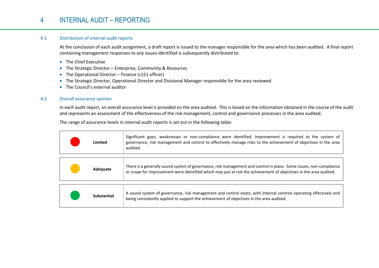# 4 INTERNAL AUDIT – REPORTING

## 4.1 Distribution of internal audit reports

At the conclusion of each audit assignment, a draft report is issued to the manager responsible for the area which has been audited. A final report containing management responses to any issues identified is subsequently distributed to:

- The Chief Executive
- The Strategic Director Enterprise, Community & Resources
- The Operational Director Finance (s151 officer)
- The Strategic Director, Operational Director and Divisional Manager responsible for the area reviewed
- The Council's external auditor

### 4.2 Overall assurance opinion

In each audit report, an overall assurance level is provided on the area audited. This is based on the information obtained in the course of the audit and represents an assessment of the effectiveness of the risk management, control and governance processes in the area audited.

The range of assurance levels in internal audit reports is set out in the following table:

| Limited            | Significant gaps, weaknesses or non-compliance were identified. Improvement is required to the system of<br>governance, risk management and control to effectively manage risks to the achievement of objectives in the area<br>audited. |
|--------------------|------------------------------------------------------------------------------------------------------------------------------------------------------------------------------------------------------------------------------------------|
|                    |                                                                                                                                                                                                                                          |
| Adequate           | There is a generally sound system of governance, risk management and control in place. Some issues, non-compliance<br>or scope for improvement were identified which may put at risk the achievement of objectives in the area audited.  |
|                    |                                                                                                                                                                                                                                          |
| <b>Substantial</b> | A sound system of governance, risk management and control exists, with internal controls operating effectively and<br>being consistently applied to support the achievement of objectives in the area audited.                           |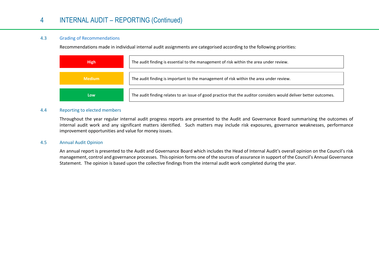# 4 INTERNAL AUDIT – REPORTING (Continued)

## 4.3 Grading of Recommendations

Recommendations made in individual internal audit assignments are categorised according to the following priorities:

| <b>High</b>   | The audit finding is essential to the management of risk within the area under review.                           |  |
|---------------|------------------------------------------------------------------------------------------------------------------|--|
| <b>Medium</b> | The audit finding is important to the management of risk within the area under review.                           |  |
| Low           | The audit finding relates to an issue of good practice that the auditor considers would deliver better outcomes. |  |

### 4.4 Reporting to elected members

Throughout the year regular internal audit progress reports are presented to the Audit and Governance Board summarising the outcomes of internal audit work and any significant matters identified. Such matters may include risk exposures, governance weaknesses, performance improvement opportunities and value for money issues.

### 4.5 Annual Audit Opinion

An annual report is presented to the Audit and Governance Board which includes the Head of Internal Audit's overall opinion on the Council's risk management, control and governance processes. This opinion forms one of the sources of assurance in support of the Council's Annual Governance Statement. The opinion is based upon the collective findings from the internal audit work completed during the year.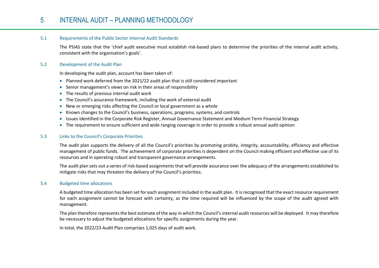# 5 INTERNAL AUDIT – PLANNING METHODOLOGY

### 5.1 Requirements of the Public Sector Internal Audit Standards

The PSIAS state that the 'chief audit executive must establish risk-based plans to determine the priorities of the internal audit activity, consistent with the organisation's goals'.

### 5.2 Development of the Audit Plan

In developing the audit plan, account has been taken of:

- Planned work deferred from the 2021/22 audit plan that is still considered important
- Senior management's views on risk in their areas of responsibility
- The results of previous internal audit work
- The Council's assurance framework, including the work of external audit
- New or emerging risks affecting the Council or local government as a whole
- Known changes to the Council's business, operations, programs, systems, and controls
- Issues identified in the Corporate Risk Register, Annual Governance Statement and Medium Term Financial Strategy
- The requirement to ensure sufficient and wide ranging coverage in order to provide a robust annual audit opinion

### 5.3 Links to the Council's Corporate Priorities

The audit plan supports the delivery of all the Council's priorities by promoting probity, integrity, accountability, efficiency and effective management of public funds. The achievement of corporate priorities is dependent on the Council making efficient and effective use of its resources and in operating robust and transparent governance arrangements.

The audit plan sets out a series of risk-based assignments that will provide assurance over the adequacy of the arrangements established to mitigate risks that may threaten the delivery of the Council's priorities.

### 5.4 Budgeted time allocations

A budgeted time allocation has been set for each assignment included in the audit plan. It is recognised that the exact resource requirement for each assignment cannot be forecast with certainty, as the time required will be influenced by the scope of the audit agreed with management.

The plan therefore represents the best estimate of the way in which the Council's internal audit resources will be deployed. It may therefore be necessary to adjust the budgeted allocations for specific assignments during the year.

In total, the 2022/23 Audit Plan comprises 1,025 days of audit work.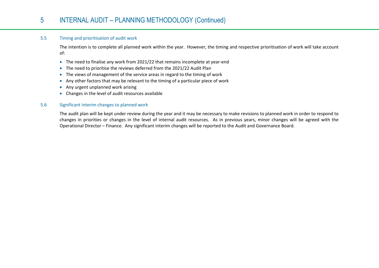## 5.5 Timing and prioritisation of audit work

The intention is to complete all planned work within the year. However, the timing and respective prioritisation of work will take account of:

- The need to finalise any work from 2021/22 that remains incomplete at year-end
- The need to prioritise the reviews deferred from the 2021/22 Audit Plan
- The views of management of the service areas in regard to the timing of work
- Any other factors that may be relevant to the timing of a particular piece of work
- Any urgent unplanned work arising
- Changes in the level of audit resources available

## 5.6 Significant interim changes to planned work

The audit plan will be kept under review during the year and it may be necessary to make revisions to planned work in order to respond to changes in priorities or changes in the level of internal audit resources. As in previous years, minor changes will be agreed with the Operational Director – Finance. Any significant interim changes will be reported to the Audit and Governance Board.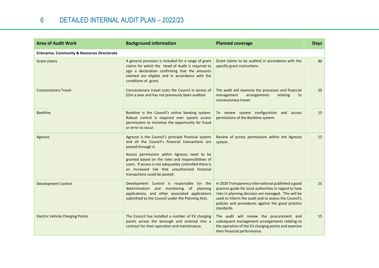| <b>Area of Audit Work</b>                                | <b>Background information</b>                                                                                                                                                                                                                                                                                                                                                   | <b>Planned coverage</b>                                                                                                                                                                                                                                                                         | <b>Days</b> |
|----------------------------------------------------------|---------------------------------------------------------------------------------------------------------------------------------------------------------------------------------------------------------------------------------------------------------------------------------------------------------------------------------------------------------------------------------|-------------------------------------------------------------------------------------------------------------------------------------------------------------------------------------------------------------------------------------------------------------------------------------------------|-------------|
| <b>Enterprise, Community &amp; Resources Directorate</b> |                                                                                                                                                                                                                                                                                                                                                                                 |                                                                                                                                                                                                                                                                                                 |             |
| <b>Grant claims</b>                                      | A general provision is included for a range of grant<br>claims for which the Head of Audit is required to<br>sign a declaration confirming that the amounts<br>claimed are eligible and in accordance with the<br>conditions of grant.                                                                                                                                          | Grant claims to be audited in accordance with the<br>specific grant instructions                                                                                                                                                                                                                | 80          |
| <b>Concessionary Travel</b>                              | Concessionary travel costs the Council in excess of<br>£2m a year and has not previously been audited.                                                                                                                                                                                                                                                                          | The audit will examine the processes and financial<br>relating<br>management<br>arrangements<br>to<br>concessionary travel.                                                                                                                                                                     | 20          |
| <b>Bankline</b>                                          | Bankline is the Council's online banking system.<br>Robust control is required over system access<br>permissions to minimise the opportunity for fraud<br>or error to occur.                                                                                                                                                                                                    | To review system configuration and access<br>permissions of the Bankline system.                                                                                                                                                                                                                | 15          |
| Agresso                                                  | Agresso is the Council's principal financial system<br>and all the Council's financial transactions are<br>posted through it.<br>Access permissions within Agresso need to be<br>granted based on the roles and responsibilities of<br>users. If access is not adequately controlled there is<br>an increased risk that unauthorised financial<br>transactions could be posted. | Review of access permissions within the Agresso<br>system.                                                                                                                                                                                                                                      | 15          |
| <b>Development Control</b>                               | Development Control is responsible for the<br>determination and monitoring of planning<br>applications, and other associated applications<br>submitted to the Council under the Planning Acts.                                                                                                                                                                                  | In 2020 Transparency International published a good<br>practice guide for local authorities in regard to how<br>risks in planning decision are managed. This will be<br>used to inform the audit and to assess the Council's<br>policies and procedures against the good practice<br>standards. | 25          |
| <b>Electric Vehicle Charging Points</b>                  | The Council has installed a number of EV charging<br>points across the borough and entered into a<br>contract for their operation and maintenance.                                                                                                                                                                                                                              | The audit will review the procurement and<br>subsequent management arrangements relating to<br>the operation of the EV charging points and examine<br>their financial performance.                                                                                                              | 15          |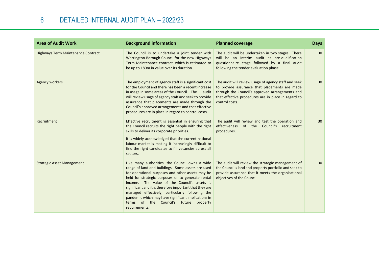| <b>Area of Audit Work</b>          | <b>Background information</b>                                                                                                                                                                                                                                                                                                                                                                                                                                                                   | <b>Planned coverage</b>                                                                                                                                                                                                           | <b>Days</b>     |
|------------------------------------|-------------------------------------------------------------------------------------------------------------------------------------------------------------------------------------------------------------------------------------------------------------------------------------------------------------------------------------------------------------------------------------------------------------------------------------------------------------------------------------------------|-----------------------------------------------------------------------------------------------------------------------------------------------------------------------------------------------------------------------------------|-----------------|
| Highways Term Maintenance Contract | The Council is to undertake a joint tender with<br>Warrington Borough Council for the new Highways<br>Term Maintenance contract, which is estimated to<br>be up to £80m in value over its duration.                                                                                                                                                                                                                                                                                             | The audit will be undertaken in two stages. There<br>will be an interim audit at pre-qualification<br>questionnaire stage followed by a final audit<br>following the tender evaluation phase.                                     | 30              |
| Agency workers                     | The employment of agency staff is a significant cost<br>for the Council and there has been a recent increase<br>in usage in some areas of the Council. The audit<br>will review usage of agency staff and seek to provide<br>assurance that placements are made through the<br>Council's approved arrangements and that effective<br>procedures are in place in regard to control costs.                                                                                                        | The audit will review usage of agency staff and seek<br>to provide assurance that placements are made<br>through the Council's approved arrangements and<br>that effective procedures are in place in regard to<br>control costs. | 30              |
| Recruitment                        | Effective recruitment is essential in ensuring that<br>the Council recruits the right people with the right<br>skills to deliver its corporate priorities.<br>It is widely acknowledged that the current national<br>labour market is making it increasingly difficult to<br>find the right candidates to fill vacancies across all<br>sectors.                                                                                                                                                 | The audit will review and test the operation and<br>effectiveness of the Council's recruitment<br>procedures.                                                                                                                     | 30 <sup>°</sup> |
| <b>Strategic Asset Management</b>  | Like many authorities, the Council owns a wide<br>range of land and buildings. Some assets are used<br>for operational purposes and other assets may be<br>held for strategic purposes or to generate rental<br>income. The value of the Council's assets is<br>significant and it is therefore important that they are<br>managed effectively, particularly following the<br>pandemic which may have significant implications in<br>terms of the Council's future<br>property<br>requirements. | The audit will review the strategic management of<br>the Council's land and property portfolio and seek to<br>provide assurance that it meets the organisational<br>objectives of the Council.                                    | 30 <sup>°</sup> |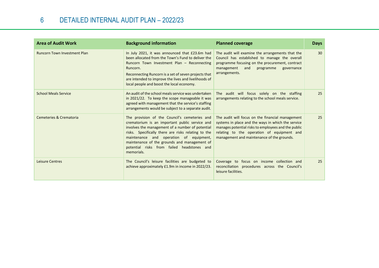| <b>Area of Audit Work</b>           | <b>Background information</b>                                                                                                                                                                                                                                                                                                                                     | <b>Planned coverage</b>                                                                                                                                                                                                                                   | <b>Days</b> |
|-------------------------------------|-------------------------------------------------------------------------------------------------------------------------------------------------------------------------------------------------------------------------------------------------------------------------------------------------------------------------------------------------------------------|-----------------------------------------------------------------------------------------------------------------------------------------------------------------------------------------------------------------------------------------------------------|-------------|
| <b>Runcorn Town Investment Plan</b> | In July 2021, it was announced that £23.6m had<br>been allocated from the Town's Fund to deliver the<br>Runcorn Town Investment Plan - Reconnecting<br>Runcorn.<br>Reconnecting Runcorn is a set of seven projects that<br>are intended to improve the lives and livelihoods of<br>local people and boost the local economy.                                      | The audit will examine the arrangements that the<br>Council has established to manage the overall<br>programme focusing on the procurement, contract<br>management<br>and<br>programme<br>governance<br>arrangements.                                     | 30          |
| <b>School Meals Service</b>         | An audit of the school meals service was undertaken<br>in 2021/22. To keep the scope manageable it was<br>agreed with management that the service's staffing<br>arrangements would be subject to a separate audit.                                                                                                                                                | The audit will focus solely on the staffing<br>arrangements relating to the school meals service.                                                                                                                                                         | 25          |
| Cemeteries & Crematoria             | The provision of the Council's cemeteries and<br>crematorium is an important public service and<br>involves the management of a number of potential<br>risks. Specifically there are risks relating to the<br>maintenance and operation of equipment,<br>maintenance of the grounds and management of<br>potential risks from failed headstones and<br>memorials. | The audit will focus on the financial management<br>systems in place and the ways in which the service<br>manages potential risks to employees and the public<br>relating to the operation of equipment and<br>management and maintenance of the grounds. | 25          |
| <b>Leisure Centres</b>              | The Council's leisure facilities are budgeted to<br>achieve approximately £1.9m in income in 2022/23.                                                                                                                                                                                                                                                             | Coverage to focus on income collection and<br>reconciliation procedures across the Council's<br>leisure facilities.                                                                                                                                       | 25          |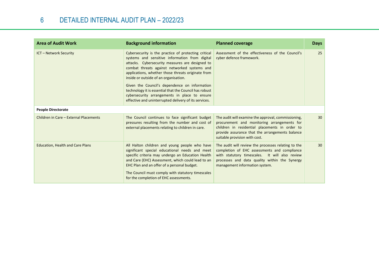| <b>Area of Audit Work</b>               | <b>Background information</b>                                                                                                                                                                                                                                                                                                                                                                                                                                                                                                 | <b>Planned coverage</b>                                                                                                                                                                                                                  | <b>Days</b>     |
|-----------------------------------------|-------------------------------------------------------------------------------------------------------------------------------------------------------------------------------------------------------------------------------------------------------------------------------------------------------------------------------------------------------------------------------------------------------------------------------------------------------------------------------------------------------------------------------|------------------------------------------------------------------------------------------------------------------------------------------------------------------------------------------------------------------------------------------|-----------------|
| <b>ICT - Network Security</b>           | Cybersecurity is the practice of protecting critical<br>systems and sensitive information from digital<br>attacks. Cybersecurity measures are designed to<br>combat threats against networked systems and<br>applications, whether those threats originate from<br>inside or outside of an organisation.<br>Given the Council's dependence on information<br>technology it is essential that the Council has robust<br>cybersecurity arrangements in place to ensure<br>effective and uninterrupted delivery of its services. | Assessment of the effectiveness of the Council's<br>cyber defence framework.                                                                                                                                                             | 25              |
| <b>People Directorate</b>               |                                                                                                                                                                                                                                                                                                                                                                                                                                                                                                                               |                                                                                                                                                                                                                                          |                 |
| Children in Care - External Placements  | The Council continues to face significant budget<br>pressures resulting from the number and cost of<br>external placements relating to children in care.                                                                                                                                                                                                                                                                                                                                                                      | The audit will examine the approval, commissioning,<br>procurement and monitoring arrangements for<br>children in residential placements in order to<br>provide assurance that the arrangements balance<br>suitable provision with cost. | 30              |
| <b>Education, Health and Care Plans</b> | All Halton children and young people who have<br>significant special educational needs and meet<br>specific criteria may undergo an Education Health<br>and Care (EHC) Assessment, which could lead to an<br>EHC Plan and an offer of a personal budget.<br>The Council must comply with statutory timescales<br>for the completion of EHC assessments.                                                                                                                                                                       | The audit will review the processes relating to the<br>completion of EHC assessments and compliance<br>with statutory timescales. It will also review<br>processes and data quality within the Synergy<br>management information system. | 30 <sup>°</sup> |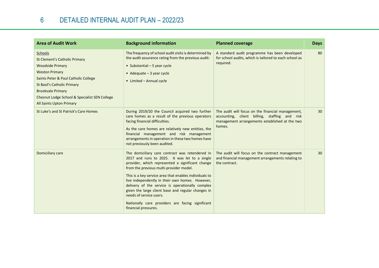| <b>Area of Audit Work</b>                                                                                                                                                                                                                                                                  | <b>Background information</b>                                                                                                                                                                                                                                                                                                                                                                                                                                                                                                 | <b>Planned coverage</b>                                                                                                                                        | <b>Days</b> |
|--------------------------------------------------------------------------------------------------------------------------------------------------------------------------------------------------------------------------------------------------------------------------------------------|-------------------------------------------------------------------------------------------------------------------------------------------------------------------------------------------------------------------------------------------------------------------------------------------------------------------------------------------------------------------------------------------------------------------------------------------------------------------------------------------------------------------------------|----------------------------------------------------------------------------------------------------------------------------------------------------------------|-------------|
| Schools<br><b>St Clement's Catholic Primary</b><br><b>Woodside Primary</b><br><b>Weston Primary</b><br>Saints Peter & Paul Catholic College<br>St Basil's Catholic Primary<br><b>Brookvale Primary</b><br>Chesnut Lodge School & Specialist SEN College<br><b>All Saints Upton Primary</b> | The frequency of school audit visits is determined by<br>the audit assurance rating from the previous audit:<br>• Substantial $-5$ year cycle<br>• Adequate $-3$ year cycle<br>• Limited - Annual cycle                                                                                                                                                                                                                                                                                                                       | A standard audit programme has been developed<br>for school audits, which is tailored to each school as<br>required.                                           | 80          |
| St Luke's and St Patrick's Care Homes                                                                                                                                                                                                                                                      | During 2019/20 the Council acquired two further<br>care homes as a result of the previous operators<br>facing financial difficulties.<br>As the care homes are relatively new entities, the<br>financial management and risk management<br>arrangements in operation in these two homes have<br>not previously been audited.                                                                                                                                                                                                  | The audit will focus on the financial management,<br>accounting, client billing, staffing and risk<br>management arrangements established at the two<br>homes. | 30          |
| Domiciliary care                                                                                                                                                                                                                                                                           | The domiciliary care contract was retendered in<br>2017 and runs to 2025. It was let to a single<br>provider, which represented a significant change<br>from the previous multi-provider model.<br>This is a key service area that enables individuals to<br>live independently in their own homes. However,<br>delivery of the service is operationally complex<br>given the large client base and regular changes in<br>needs of service users.<br>Nationally care providers are facing significant<br>financial pressures. | The audit will focus on the contract management<br>and financial management arrangements relating to<br>the contract.                                          | 30          |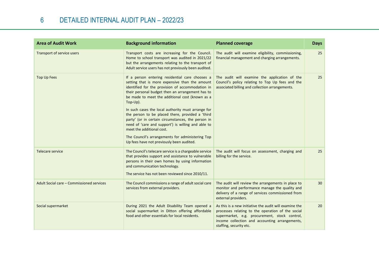| <b>Area of Audit Work</b>                 | <b>Background information</b>                                                                                                                                                                                                                                                                                                                                                                                                                                                                                                                                                                                                | <b>Planned coverage</b>                                                                                                                                                                                                                   | <b>Days</b> |
|-------------------------------------------|------------------------------------------------------------------------------------------------------------------------------------------------------------------------------------------------------------------------------------------------------------------------------------------------------------------------------------------------------------------------------------------------------------------------------------------------------------------------------------------------------------------------------------------------------------------------------------------------------------------------------|-------------------------------------------------------------------------------------------------------------------------------------------------------------------------------------------------------------------------------------------|-------------|
| Transport of service users                | Transport costs are increasing for the Council.<br>Home to school transport was audited in 2021/22<br>but the arrangements relating to the transport of<br>Adult service users has not previously been audited.                                                                                                                                                                                                                                                                                                                                                                                                              | The audit will examine eligibility, commissioning,<br>financial management and charging arrangements.                                                                                                                                     | 25          |
| <b>Top Up Fees</b>                        | If a person entering residential care chooses a<br>setting that is more expensive than the amount<br>identified for the provision of accommodation in<br>their personal budget then an arrangement has to<br>be made to meet the additional cost (known as a<br>Top-Up).<br>In such cases the local authority must arrange for<br>the person to be placed there, provided a 'third<br>party' (or in certain circumstances, the person in<br>need of 'care and support') is willing and able to<br>meet the additional cost.<br>The Council's arrangements for administering Top<br>Up fees have not previously been audited. | The audit will examine the application of the<br>Council's policy relating to Top Up fees and the<br>associated billing and collection arrangements.                                                                                      | 25          |
| Telecare service                          | The Council's telecare service is a chargeable service<br>that provides support and assistance to vulnerable<br>persons in their own homes by using information<br>and communication technology.<br>The service has not been reviewed since 2010/11.                                                                                                                                                                                                                                                                                                                                                                         | The audit will focus on assessment, charging and<br>billing for the service.                                                                                                                                                              | 25          |
| Adult Social care - Commissioned services | The Council commissions a range of adult social care<br>services from external providers.                                                                                                                                                                                                                                                                                                                                                                                                                                                                                                                                    | The audit will review the arrangements in place to<br>monitor and performance manage the quality and<br>delivery of a range of services commissioned from<br>external providers.                                                          | 30          |
| Social supermarket                        | During 2021 the Adult Disability Team opened a<br>social supermarket in Ditton offering affordable<br>food and other essentials for local residents.                                                                                                                                                                                                                                                                                                                                                                                                                                                                         | As this is a new initiative the audit will examine the<br>processes relating to the operation of the social<br>supermarket, e.g. procurement, stock control,<br>income collection and accounting arrangements,<br>staffing, security etc. | 20          |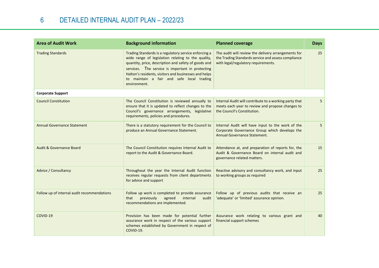| <b>Area of Audit Work</b>                   | <b>Background information</b>                                                                                                                                                                                                                                                                                                                 | <b>Planned coverage</b>                                                                                                                           | <b>Days</b> |
|---------------------------------------------|-----------------------------------------------------------------------------------------------------------------------------------------------------------------------------------------------------------------------------------------------------------------------------------------------------------------------------------------------|---------------------------------------------------------------------------------------------------------------------------------------------------|-------------|
| <b>Trading Standards</b>                    | Trading Standards is a regulatory service enforcing a<br>wide range of legislation relating to the quality,<br>quantity, price, description and safety of goods and<br>services. The service is important in protecting<br>Halton's residents, visitors and businesses and helps<br>to maintain a fair and safe local trading<br>environment. | The audit will review the delivery arrangements for<br>the Trading Standards service and assess compliance<br>with legal/regulatory requirements. | 25          |
| <b>Corporate Support</b>                    |                                                                                                                                                                                                                                                                                                                                               |                                                                                                                                                   |             |
| <b>Council Constitution</b>                 | The Council Constitution is reviewed annually to<br>ensure that it is updated to reflect changes to the<br>Council's governance arrangements, legislative<br>requirements, policies and procedures.                                                                                                                                           | Internal Audit will contribute to a working party that<br>meets each year to review and propose changes to<br>the Council's Constitution.         | 5.          |
| <b>Annual Governance Statement</b>          | There is a statutory requirement for the Council to<br>produce an Annual Governance Statement.                                                                                                                                                                                                                                                | Internal Audit will have input to the work of the<br>Corporate Governance Group which develops the<br>Annual Governance Statement.                | 5.          |
| <b>Audit &amp; Governance Board</b>         | The Council Constitution requires Internal Audit to<br>report to the Audit & Governance Board.                                                                                                                                                                                                                                                | Attendance at, and preparation of reports for, the<br>Audit & Governance Board on internal audit and<br>governance related matters.               | 15          |
| Advice / Consultancy                        | Throughout the year the Internal Audit function<br>receives regular requests from client departments<br>for advice and support                                                                                                                                                                                                                | Reactive advisory and consultancy work, and input<br>to working groups as required                                                                | 25          |
| Follow up of internal audit recommendations | Follow up work is completed to provide assurance<br>that<br>previously<br>agreed<br>internal<br>audit<br>recommendations are implemented.                                                                                                                                                                                                     | Follow up of previous audits that receive an<br>'adequate' or 'limited' assurance opinion.                                                        | 25          |
| COVID-19                                    | Provision has been made for potential further<br>assurance work in respect of the various support<br>schemes established by Government in respect of<br>COVID-19.                                                                                                                                                                             | Assurance work relating to various grant and<br>financial support schemes                                                                         | 40          |